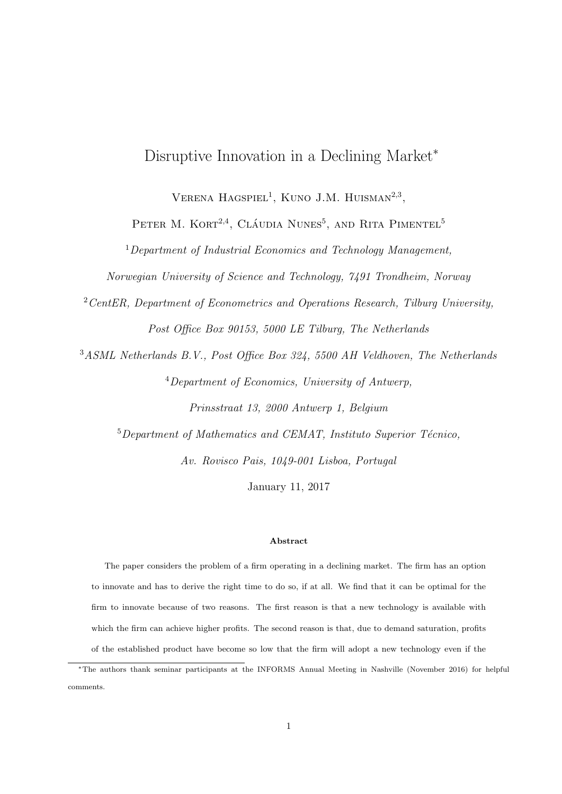# Disruptive Innovation in a Declining Market<sup>∗</sup>

VERENA  $HAGSPIEL<sup>1</sup>$ , KUNO J.M. HUISMAN<sup>2,3</sup>,

PETER M. KORT<sup>2,4</sup>, CLÁUDIA NUNES<sup>5</sup>, AND RITA PIMENTEL<sup>5</sup>

 $1$ Department of Industrial Economics and Technology Management,

Norwegian University of Science and Technology, 7491 Trondheim, Norway

 $2$  CentER, Department of Econometrics and Operations Research, Tilburg University, Post Office Box 90153, 5000 LE Tilburg, The Netherlands

<sup>3</sup>ASML Netherlands B.V., Post Office Box 324, 5500 AH Veldhoven, The Netherlands <sup>4</sup>Department of Economics, University of Antwerp,

Prinsstraat 13, 2000 Antwerp 1, Belgium

 $5$ Department of Mathematics and CEMAT, Instituto Superior Técnico,

Av. Rovisco Pais, 1049-001 Lisboa, Portugal

January 11, 2017

### Abstract

The paper considers the problem of a firm operating in a declining market. The firm has an option to innovate and has to derive the right time to do so, if at all. We find that it can be optimal for the firm to innovate because of two reasons. The first reason is that a new technology is available with which the firm can achieve higher profits. The second reason is that, due to demand saturation, profits of the established product have become so low that the firm will adopt a new technology even if the

<sup>∗</sup>The authors thank seminar participants at the INFORMS Annual Meeting in Nashville (November 2016) for helpful comments.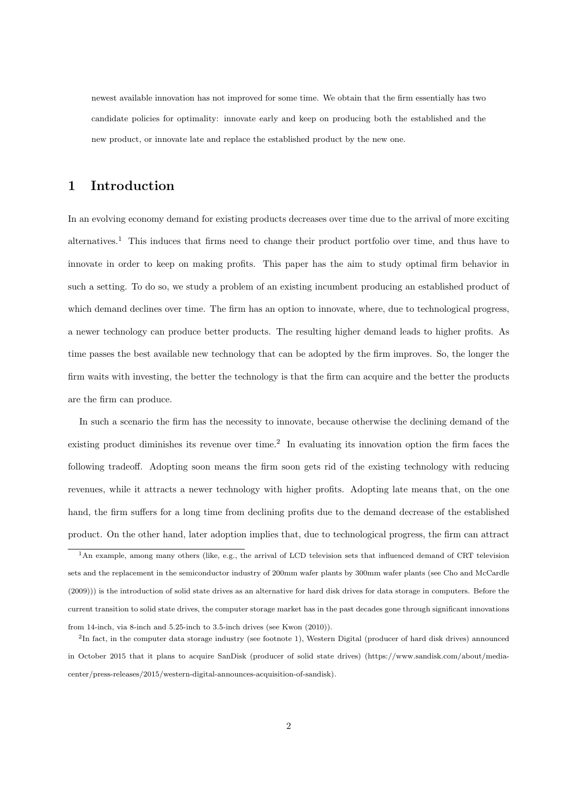newest available innovation has not improved for some time. We obtain that the firm essentially has two candidate policies for optimality: innovate early and keep on producing both the established and the new product, or innovate late and replace the established product by the new one.

# 1 Introduction

In an evolving economy demand for existing products decreases over time due to the arrival of more exciting alternatives.<sup>1</sup> This induces that firms need to change their product portfolio over time, and thus have to innovate in order to keep on making profits. This paper has the aim to study optimal firm behavior in such a setting. To do so, we study a problem of an existing incumbent producing an established product of which demand declines over time. The firm has an option to innovate, where, due to technological progress, a newer technology can produce better products. The resulting higher demand leads to higher profits. As time passes the best available new technology that can be adopted by the firm improves. So, the longer the firm waits with investing, the better the technology is that the firm can acquire and the better the products are the firm can produce.

In such a scenario the firm has the necessity to innovate, because otherwise the declining demand of the existing product diminishes its revenue over time.<sup>2</sup> In evaluating its innovation option the firm faces the following tradeoff. Adopting soon means the firm soon gets rid of the existing technology with reducing revenues, while it attracts a newer technology with higher profits. Adopting late means that, on the one hand, the firm suffers for a long time from declining profits due to the demand decrease of the established product. On the other hand, later adoption implies that, due to technological progress, the firm can attract

<sup>1</sup>An example, among many others (like, e.g., the arrival of LCD television sets that influenced demand of CRT television sets and the replacement in the semiconductor industry of 200mm wafer plants by 300mm wafer plants (see Cho and McCardle (2009))) is the introduction of solid state drives as an alternative for hard disk drives for data storage in computers. Before the current transition to solid state drives, the computer storage market has in the past decades gone through significant innovations from 14-inch, via 8-inch and 5.25-inch to 3.5-inch drives (see Kwon (2010)).

<sup>&</sup>lt;sup>2</sup>In fact, in the computer data storage industry (see footnote 1), Western Digital (producer of hard disk drives) announced in October 2015 that it plans to acquire SanDisk (producer of solid state drives) (https://www.sandisk.com/about/mediacenter/press-releases/2015/western-digital-announces-acquisition-of-sandisk).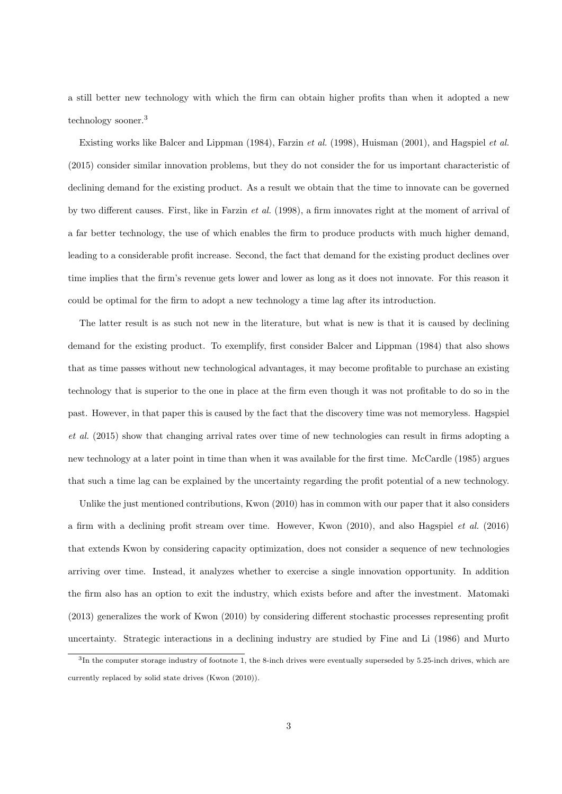a still better new technology with which the firm can obtain higher profits than when it adopted a new technology sooner.<sup>3</sup>

Existing works like Balcer and Lippman (1984), Farzin et al. (1998), Huisman (2001), and Hagspiel et al. (2015) consider similar innovation problems, but they do not consider the for us important characteristic of declining demand for the existing product. As a result we obtain that the time to innovate can be governed by two different causes. First, like in Farzin et al. (1998), a firm innovates right at the moment of arrival of a far better technology, the use of which enables the firm to produce products with much higher demand, leading to a considerable profit increase. Second, the fact that demand for the existing product declines over time implies that the firm's revenue gets lower and lower as long as it does not innovate. For this reason it could be optimal for the firm to adopt a new technology a time lag after its introduction.

The latter result is as such not new in the literature, but what is new is that it is caused by declining demand for the existing product. To exemplify, first consider Balcer and Lippman (1984) that also shows that as time passes without new technological advantages, it may become profitable to purchase an existing technology that is superior to the one in place at the firm even though it was not profitable to do so in the past. However, in that paper this is caused by the fact that the discovery time was not memoryless. Hagspiel et al. (2015) show that changing arrival rates over time of new technologies can result in firms adopting a new technology at a later point in time than when it was available for the first time. McCardle (1985) argues that such a time lag can be explained by the uncertainty regarding the profit potential of a new technology.

Unlike the just mentioned contributions, Kwon (2010) has in common with our paper that it also considers a firm with a declining profit stream over time. However, Kwon (2010), and also Hagspiel et al. (2016) that extends Kwon by considering capacity optimization, does not consider a sequence of new technologies arriving over time. Instead, it analyzes whether to exercise a single innovation opportunity. In addition the firm also has an option to exit the industry, which exists before and after the investment. Matomaki (2013) generalizes the work of Kwon (2010) by considering different stochastic processes representing profit uncertainty. Strategic interactions in a declining industry are studied by Fine and Li (1986) and Murto

 ${}^{3}$ In the computer storage industry of footnote 1, the 8-inch drives were eventually superseded by 5.25-inch drives, which are currently replaced by solid state drives (Kwon (2010)).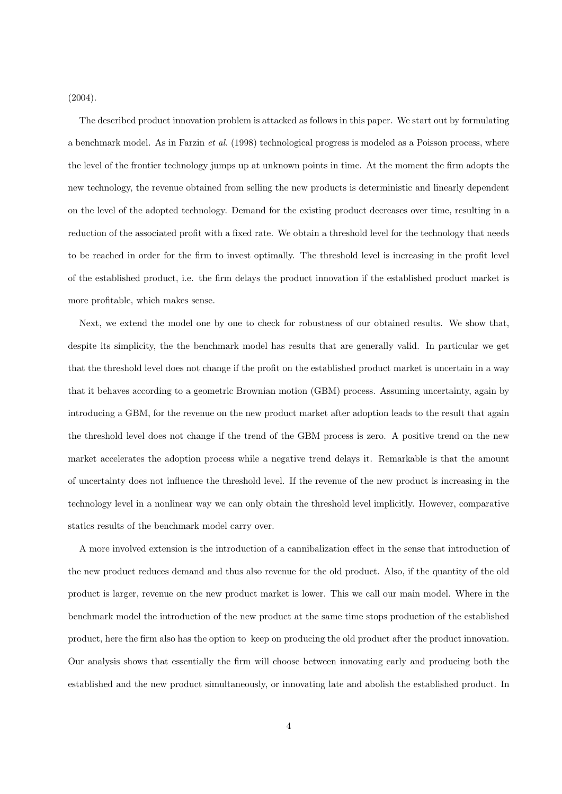(2004).

The described product innovation problem is attacked as follows in this paper. We start out by formulating a benchmark model. As in Farzin et al. (1998) technological progress is modeled as a Poisson process, where the level of the frontier technology jumps up at unknown points in time. At the moment the firm adopts the new technology, the revenue obtained from selling the new products is deterministic and linearly dependent on the level of the adopted technology. Demand for the existing product decreases over time, resulting in a reduction of the associated profit with a fixed rate. We obtain a threshold level for the technology that needs to be reached in order for the firm to invest optimally. The threshold level is increasing in the profit level of the established product, i.e. the firm delays the product innovation if the established product market is more profitable, which makes sense.

Next, we extend the model one by one to check for robustness of our obtained results. We show that, despite its simplicity, the the benchmark model has results that are generally valid. In particular we get that the threshold level does not change if the profit on the established product market is uncertain in a way that it behaves according to a geometric Brownian motion (GBM) process. Assuming uncertainty, again by introducing a GBM, for the revenue on the new product market after adoption leads to the result that again the threshold level does not change if the trend of the GBM process is zero. A positive trend on the new market accelerates the adoption process while a negative trend delays it. Remarkable is that the amount of uncertainty does not influence the threshold level. If the revenue of the new product is increasing in the technology level in a nonlinear way we can only obtain the threshold level implicitly. However, comparative statics results of the benchmark model carry over.

A more involved extension is the introduction of a cannibalization effect in the sense that introduction of the new product reduces demand and thus also revenue for the old product. Also, if the quantity of the old product is larger, revenue on the new product market is lower. This we call our main model. Where in the benchmark model the introduction of the new product at the same time stops production of the established product, here the firm also has the option to keep on producing the old product after the product innovation. Our analysis shows that essentially the firm will choose between innovating early and producing both the established and the new product simultaneously, or innovating late and abolish the established product. In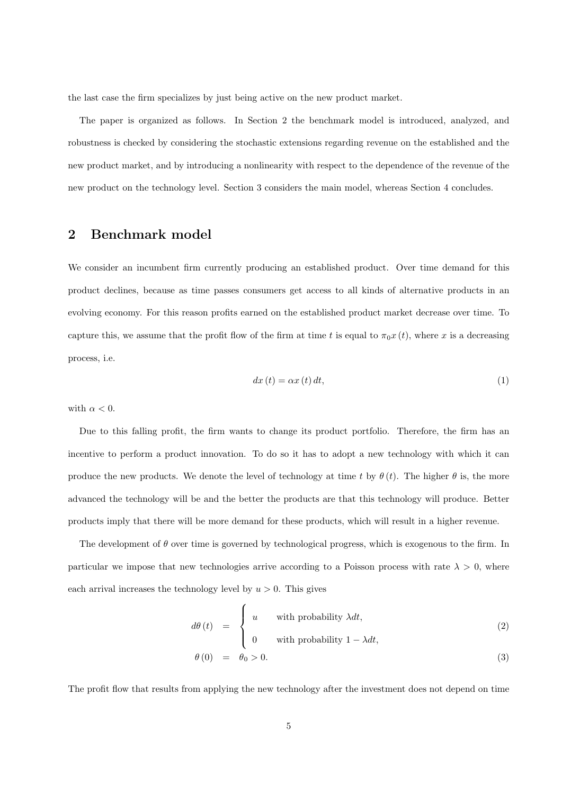the last case the firm specializes by just being active on the new product market.

The paper is organized as follows. In Section 2 the benchmark model is introduced, analyzed, and robustness is checked by considering the stochastic extensions regarding revenue on the established and the new product market, and by introducing a nonlinearity with respect to the dependence of the revenue of the new product on the technology level. Section 3 considers the main model, whereas Section 4 concludes.

# 2 Benchmark model

We consider an incumbent firm currently producing an established product. Over time demand for this product declines, because as time passes consumers get access to all kinds of alternative products in an evolving economy. For this reason profits earned on the established product market decrease over time. To capture this, we assume that the profit flow of the firm at time t is equal to  $\pi_0 x(t)$ , where x is a decreasing process, i.e.

$$
dx(t) = \alpha x(t) dt,
$$
\n(1)

with  $\alpha < 0$ .

Due to this falling profit, the firm wants to change its product portfolio. Therefore, the firm has an incentive to perform a product innovation. To do so it has to adopt a new technology with which it can produce the new products. We denote the level of technology at time t by  $\theta(t)$ . The higher  $\theta$  is, the more advanced the technology will be and the better the products are that this technology will produce. Better products imply that there will be more demand for these products, which will result in a higher revenue.

The development of  $\theta$  over time is governed by technological progress, which is exogenous to the firm. In particular we impose that new technologies arrive according to a Poisson process with rate  $\lambda > 0$ , where each arrival increases the technology level by  $u > 0$ . This gives

$$
d\theta(t) = \begin{cases} u & \text{with probability } \lambda dt, \\ 0 & \text{with probability } 1 - \lambda dt, \\ \theta(0) = \theta_0 > 0. \end{cases}
$$
 (2)

The profit flow that results from applying the new technology after the investment does not depend on time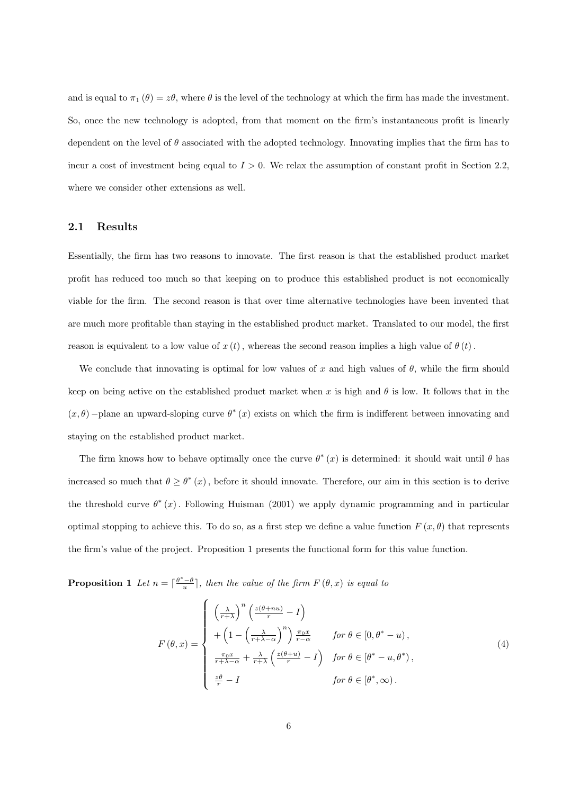and is equal to  $\pi_1(\theta) = z\theta$ , where  $\theta$  is the level of the technology at which the firm has made the investment. So, once the new technology is adopted, from that moment on the firm's instantaneous profit is linearly dependent on the level of  $\theta$  associated with the adopted technology. Innovating implies that the firm has to incur a cost of investment being equal to  $I > 0$ . We relax the assumption of constant profit in Section 2.2, where we consider other extensions as well.

#### 2.1 Results

Essentially, the firm has two reasons to innovate. The first reason is that the established product market profit has reduced too much so that keeping on to produce this established product is not economically viable for the firm. The second reason is that over time alternative technologies have been invented that are much more profitable than staying in the established product market. Translated to our model, the first reason is equivalent to a low value of  $x(t)$ , whereas the second reason implies a high value of  $\theta(t)$ .

We conclude that innovating is optimal for low values of x and high values of  $\theta$ , while the firm should keep on being active on the established product market when x is high and  $\theta$  is low. It follows that in the  $(x, \theta)$  –plane an upward-sloping curve  $\theta^*(x)$  exists on which the firm is indifferent between innovating and staying on the established product market.

The firm knows how to behave optimally once the curve  $\theta^*(x)$  is determined: it should wait until  $\theta$  has increased so much that  $\theta \geq \theta^*(x)$ , before it should innovate. Therefore, our aim in this section is to derive the threshold curve  $\theta^*(x)$ . Following Huisman (2001) we apply dynamic programming and in particular optimal stopping to achieve this. To do so, as a first step we define a value function  $F(x, \theta)$  that represents the firm's value of the project. Proposition 1 presents the functional form for this value function.

**Proposition 1** Let  $n = \lceil \frac{\theta^* - \theta}{u} \rceil$ , then the value of the firm  $F(\theta, x)$  is equal to

$$
F(\theta, x) = \begin{cases} \left(\frac{\lambda}{r+\lambda}\right)^n \left(\frac{z(\theta+nu)}{r} - I\right) \\ + \left(1 - \left(\frac{\lambda}{r+\lambda-\alpha}\right)^n\right) \frac{\pi_0 x}{r-\alpha} & \text{for } \theta \in [0, \theta^* - u), \\ \frac{\pi_0 x}{r+\lambda-\alpha} + \frac{\lambda}{r+\lambda} \left(\frac{z(\theta+u)}{r} - I\right) & \text{for } \theta \in [\theta^* - u, \theta^*), \\ \frac{z\theta}{r} - I & \text{for } \theta \in [\theta^*, \infty). \end{cases} \tag{4}
$$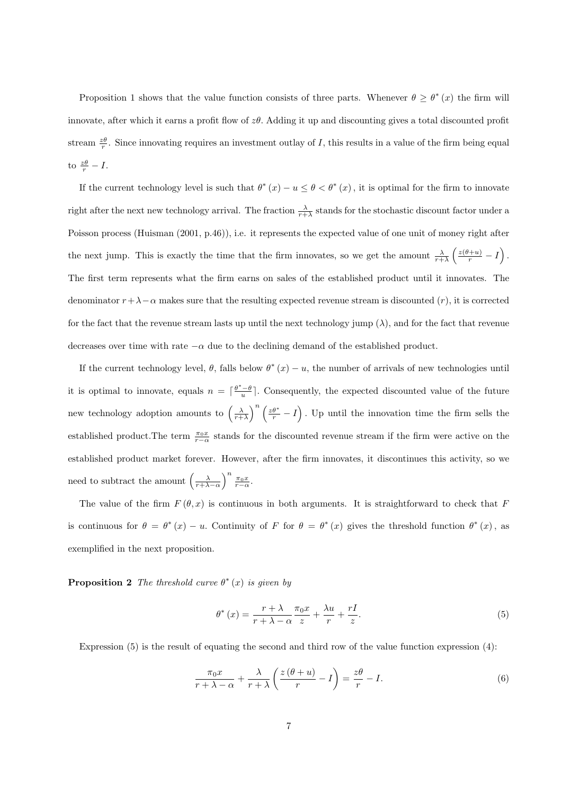Proposition 1 shows that the value function consists of three parts. Whenever  $\theta \geq \theta^*(x)$  the firm will innovate, after which it earns a profit flow of zθ. Adding it up and discounting gives a total discounted profit stream  $\frac{z\theta}{r}$ . Since innovating requires an investment outlay of I, this results in a value of the firm being equal to  $\frac{z\theta}{r} - I$ .

If the current technology level is such that  $\theta^*(x) - u \leq \theta < \theta^*(x)$ , it is optimal for the firm to innovate right after the next new technology arrival. The fraction  $\frac{\lambda}{r+\lambda}$  stands for the stochastic discount factor under a Poisson process (Huisman (2001, p.46)), i.e. it represents the expected value of one unit of money right after the next jump. This is exactly the time that the firm innovates, so we get the amount  $\frac{\lambda}{r+\lambda} \left( \frac{z(\theta+u)}{r} - I \right)$ . The first term represents what the firm earns on sales of the established product until it innovates. The denominator  $r+\lambda-\alpha$  makes sure that the resulting expected revenue stream is discounted  $(r)$ , it is corrected for the fact that the revenue stream lasts up until the next technology jump  $(\lambda)$ , and for the fact that revenue decreases over time with rate  $-\alpha$  due to the declining demand of the established product.

If the current technology level,  $\theta$ , falls below  $\theta^*(x) - u$ , the number of arrivals of new technologies until it is optimal to innovate, equals  $n = \lceil \frac{\theta^*-\theta}{u} \rceil$ . Consequently, the expected discounted value of the future new technology adoption amounts to  $\left(\frac{\lambda}{r+\lambda}\right)^n\left(\frac{z\theta^*}{r}-I\right)$ . Up until the innovation time the firm sells the established product. The term  $\frac{\pi_0 x}{r-\alpha}$  stands for the discounted revenue stream if the firm were active on the established product market forever. However, after the firm innovates, it discontinues this activity, so we need to subtract the amount  $\left(\frac{\lambda}{r+\lambda-\alpha}\right)^n \frac{\pi_0 x}{r-\alpha}$ .

The value of the firm  $F(\theta, x)$  is continuous in both arguments. It is straightforward to check that F is continuous for  $\theta = \theta^*(x) - u$ . Continuity of F for  $\theta = \theta^*(x)$  gives the threshold function  $\theta^*(x)$ , as exemplified in the next proposition.

**Proposition 2** The threshold curve  $\theta^*(x)$  is given by

$$
\theta^* (x) = \frac{r + \lambda}{r + \lambda - \alpha} \frac{\pi_0 x}{z} + \frac{\lambda u}{r} + \frac{rI}{z}.
$$
\n
$$
(5)
$$

Expression (5) is the result of equating the second and third row of the value function expression (4):

$$
\frac{\pi_0 x}{r + \lambda - \alpha} + \frac{\lambda}{r + \lambda} \left( \frac{z(\theta + u)}{r} - I \right) = \frac{z\theta}{r} - I.
$$
\n(6)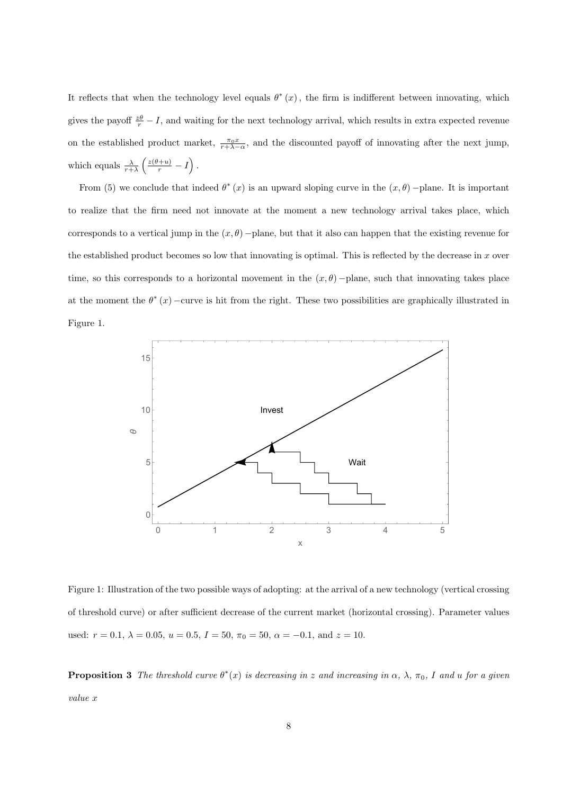It reflects that when the technology level equals  $\theta^*(x)$ , the firm is indifferent between innovating, which gives the payoff  $\frac{z\theta}{r} - I$ , and waiting for the next technology arrival, which results in extra expected revenue on the established product market,  $\frac{\pi_0 x}{r+\lambda-\alpha}$ , and the discounted payoff of innovating after the next jump, which equals  $\frac{\lambda}{r+\lambda} \left( \frac{z(\theta+u)}{r} - I \right)$ .

From (5) we conclude that indeed  $\theta^*(x)$  is an upward sloping curve in the  $(x, \theta)$  –plane. It is important to realize that the firm need not innovate at the moment a new technology arrival takes place, which corresponds to a vertical jump in the  $(x, \theta)$  –plane, but that it also can happen that the existing revenue for the established product becomes so low that innovating is optimal. This is reflected by the decrease in  $x$  over time, so this corresponds to a horizontal movement in the  $(x, \theta)$  –plane, such that innovating takes place at the moment the  $\theta^*(x)$  –curve is hit from the right. These two possibilities are graphically illustrated in Figure 1.



Figure 1: Illustration of the two possible ways of adopting: at the arrival of a new technology (vertical crossing of threshold curve) or after sufficient decrease of the current market (horizontal crossing). Parameter values used:  $r = 0.1, \lambda = 0.05, u = 0.5, I = 50, \pi_0 = 50, \alpha = -0.1, \text{ and } z = 10.$ 

**Proposition 3** The threshold curve  $\theta^*(x)$  is decreasing in z and increasing in  $\alpha$ ,  $\lambda$ ,  $\pi_0$ , I and u for a given value x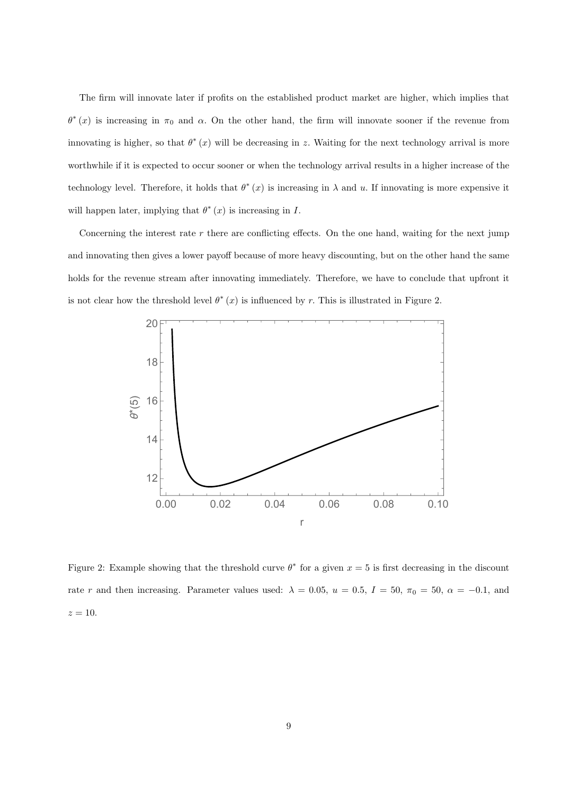The firm will innovate later if profits on the established product market are higher, which implies that  $\theta^*(x)$  is increasing in  $\pi_0$  and  $\alpha$ . On the other hand, the firm will innovate sooner if the revenue from innovating is higher, so that  $\theta^*(x)$  will be decreasing in z. Waiting for the next technology arrival is more worthwhile if it is expected to occur sooner or when the technology arrival results in a higher increase of the technology level. Therefore, it holds that  $\theta^*(x)$  is increasing in  $\lambda$  and u. If innovating is more expensive it will happen later, implying that  $\theta^*(x)$  is increasing in I.

Concerning the interest rate  $r$  there are conflicting effects. On the one hand, waiting for the next jump and innovating then gives a lower payoff because of more heavy discounting, but on the other hand the same holds for the revenue stream after innovating immediately. Therefore, we have to conclude that upfront it is not clear how the threshold level  $\theta^*(x)$  is influenced by r. This is illustrated in Figure 2.



Figure 2: Example showing that the threshold curve  $\theta^*$  for a given  $x = 5$  is first decreasing in the discount rate r and then increasing. Parameter values used:  $\lambda = 0.05$ ,  $u = 0.5$ ,  $I = 50$ ,  $\pi_0 = 50$ ,  $\alpha = -0.1$ , and  $z=10$ .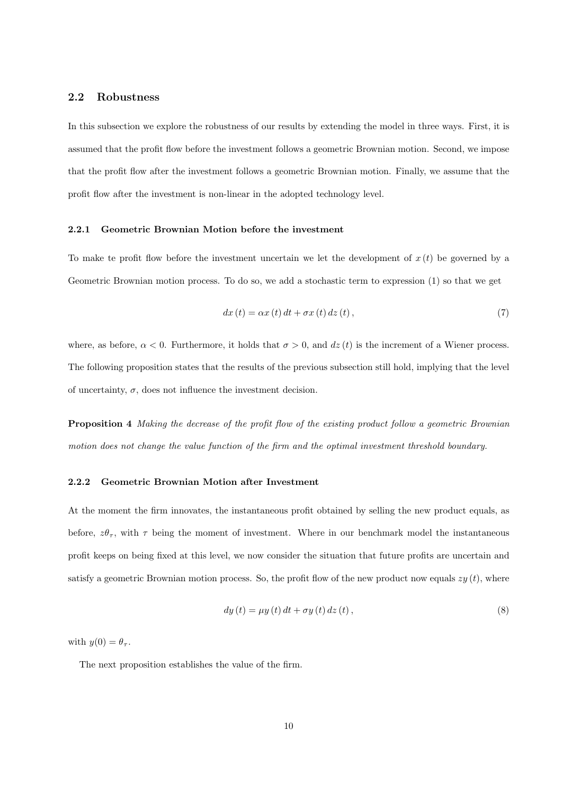## 2.2 Robustness

In this subsection we explore the robustness of our results by extending the model in three ways. First, it is assumed that the profit flow before the investment follows a geometric Brownian motion. Second, we impose that the profit flow after the investment follows a geometric Brownian motion. Finally, we assume that the profit flow after the investment is non-linear in the adopted technology level.

### 2.2.1 Geometric Brownian Motion before the investment

To make te profit flow before the investment uncertain we let the development of  $x(t)$  be governed by a Geometric Brownian motion process. To do so, we add a stochastic term to expression (1) so that we get

$$
dx(t) = \alpha x(t) dt + \sigma x(t) dz(t), \qquad (7)
$$

where, as before,  $\alpha < 0$ . Furthermore, it holds that  $\sigma > 0$ , and  $dz(t)$  is the increment of a Wiener process. The following proposition states that the results of the previous subsection still hold, implying that the level of uncertainty,  $\sigma$ , does not influence the investment decision.

Proposition 4 Making the decrease of the profit flow of the existing product follow a geometric Brownian motion does not change the value function of the firm and the optimal investment threshold boundary.

### 2.2.2 Geometric Brownian Motion after Investment

At the moment the firm innovates, the instantaneous profit obtained by selling the new product equals, as before,  $z\theta_{\tau}$ , with  $\tau$  being the moment of investment. Where in our benchmark model the instantaneous profit keeps on being fixed at this level, we now consider the situation that future profits are uncertain and satisfy a geometric Brownian motion process. So, the profit flow of the new product now equals  $zy(t)$ , where

$$
dy(t) = \mu y(t) dt + \sigma y(t) dz(t),
$$
\n(8)

with  $y(0) = \theta_{\tau}$ .

The next proposition establishes the value of the firm.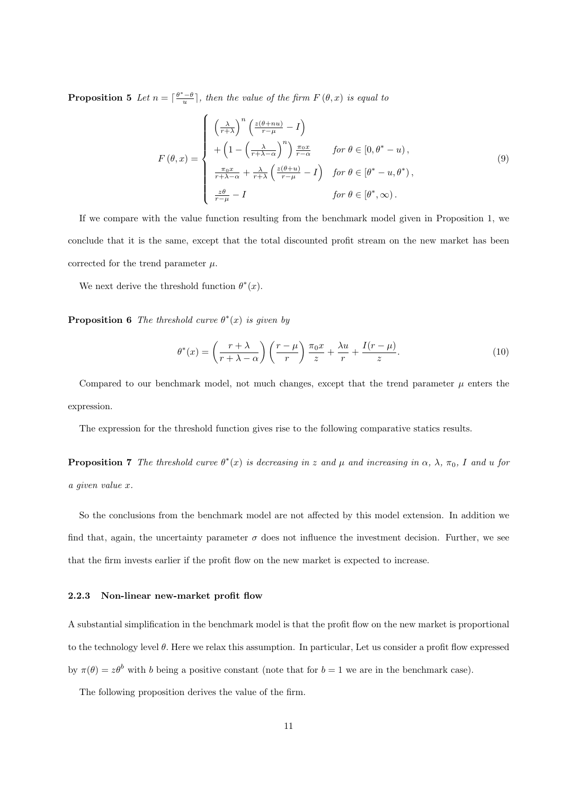**Proposition 5** Let  $n = \lceil \frac{\theta^* - \theta}{u} \rceil$ , then the value of the firm  $F(\theta, x)$  is equal to

$$
F(\theta, x) = \begin{cases} \left(\frac{\lambda}{r+\lambda}\right)^n \left(\frac{z(\theta+nu)}{r-\mu} - I\right) \\ + \left(1 - \left(\frac{\lambda}{r+\lambda-\alpha}\right)^n\right) \frac{\pi_0 x}{r-\alpha} & \text{for } \theta \in [0, \theta^* - u), \\ \frac{\pi_0 x}{r+\lambda-\alpha} + \frac{\lambda}{r+\lambda} \left(\frac{z(\theta+u)}{r-\mu} - I\right) & \text{for } \theta \in [\theta^* - u, \theta^*), \\ \frac{z\theta}{r-\mu} - I & \text{for } \theta \in [\theta^*, \infty). \end{cases} \tag{9}
$$

If we compare with the value function resulting from the benchmark model given in Proposition 1, we conclude that it is the same, except that the total discounted profit stream on the new market has been corrected for the trend parameter  $\mu$ .

We next derive the threshold function  $\theta^*(x)$ .

**Proposition 6** The threshold curve  $\theta^*(x)$  is given by

$$
\theta^*(x) = \left(\frac{r+\lambda}{r+\lambda-\alpha}\right) \left(\frac{r-\mu}{r}\right) \frac{\pi_0 x}{z} + \frac{\lambda u}{r} + \frac{I(r-\mu)}{z}.
$$
\n(10)

Compared to our benchmark model, not much changes, except that the trend parameter  $\mu$  enters the expression.

The expression for the threshold function gives rise to the following comparative statics results.

**Proposition 7** The threshold curve  $\theta^*(x)$  is decreasing in z and  $\mu$  and increasing in  $\alpha$ ,  $\lambda$ ,  $\pi_0$ , I and u for a given value x.

So the conclusions from the benchmark model are not affected by this model extension. In addition we find that, again, the uncertainty parameter  $\sigma$  does not influence the investment decision. Further, we see that the firm invests earlier if the profit flow on the new market is expected to increase.

#### 2.2.3 Non-linear new-market profit flow

A substantial simplification in the benchmark model is that the profit flow on the new market is proportional to the technology level  $\theta$ . Here we relax this assumption. In particular, Let us consider a profit flow expressed by  $\pi(\theta) = z\theta^b$  with b being a positive constant (note that for  $b = 1$  we are in the benchmark case).

The following proposition derives the value of the firm.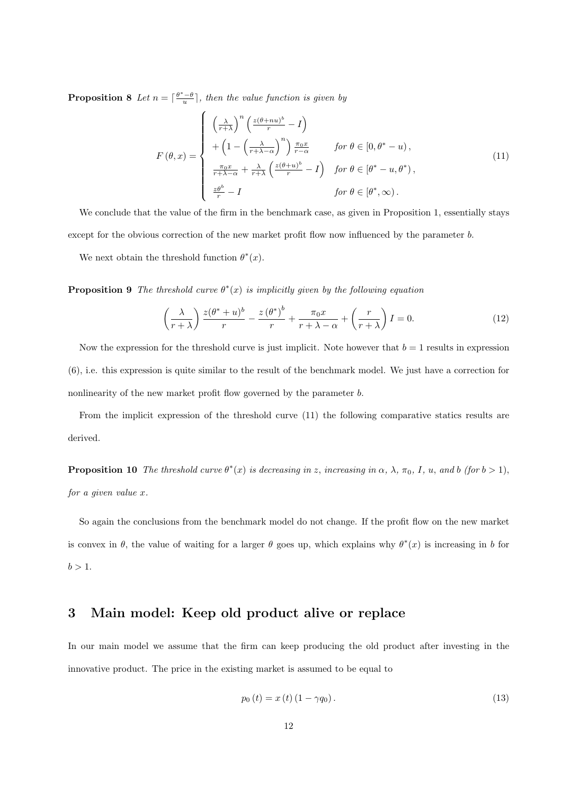**Proposition 8** Let  $n = \lceil \frac{\theta^* - \theta}{u} \rceil$ , then the value function is given by

$$
F(\theta, x) = \begin{cases} \left(\frac{\lambda}{r+\lambda}\right)^n \left(\frac{z(\theta+nu)^b}{r} - I\right) \\ + \left(1 - \left(\frac{\lambda}{r+\lambda-\alpha}\right)^n\right) \frac{\pi_0 x}{r-\alpha} & \text{for } \theta \in [0, \theta^* - u), \\ \frac{\pi_0 x}{r+\lambda-\alpha} + \frac{\lambda}{r+\lambda} \left(\frac{z(\theta+u)^b}{r} - I\right) & \text{for } \theta \in [\theta^* - u, \theta^*), \\ \frac{z\theta^b}{r} - I & \text{for } \theta \in [\theta^*, \infty). \end{cases}
$$
(11)

We conclude that the value of the firm in the benchmark case, as given in Proposition 1, essentially stays except for the obvious correction of the new market profit flow now influenced by the parameter b.

We next obtain the threshold function  $\theta^*(x)$ .

**Proposition 9** The threshold curve  $\theta^*(x)$  is implicitly given by the following equation

$$
\left(\frac{\lambda}{r+\lambda}\right)\frac{z(\theta^*+u)^b}{r} - \frac{z(\theta^*)^b}{r} + \frac{\pi_0 x}{r+\lambda-\alpha} + \left(\frac{r}{r+\lambda}\right)I = 0.
$$
\n(12)

Now the expression for the threshold curve is just implicit. Note however that  $b = 1$  results in expression (6), i.e. this expression is quite similar to the result of the benchmark model. We just have a correction for nonlinearity of the new market profit flow governed by the parameter b.

From the implicit expression of the threshold curve (11) the following comparative statics results are derived.

**Proposition 10** The threshold curve  $\theta^*(x)$  is decreasing in z, increasing in  $\alpha$ ,  $\lambda$ ,  $\pi_0$ , I, u, and b (for  $b > 1$ ), for a given value x.

So again the conclusions from the benchmark model do not change. If the profit flow on the new market is convex in  $\theta$ , the value of waiting for a larger  $\theta$  goes up, which explains why  $\theta^*(x)$  is increasing in b for  $b > 1$ .

# 3 Main model: Keep old product alive or replace

In our main model we assume that the firm can keep producing the old product after investing in the innovative product. The price in the existing market is assumed to be equal to

$$
p_0(t) = x(t) (1 - \gamma q_0).
$$
 (13)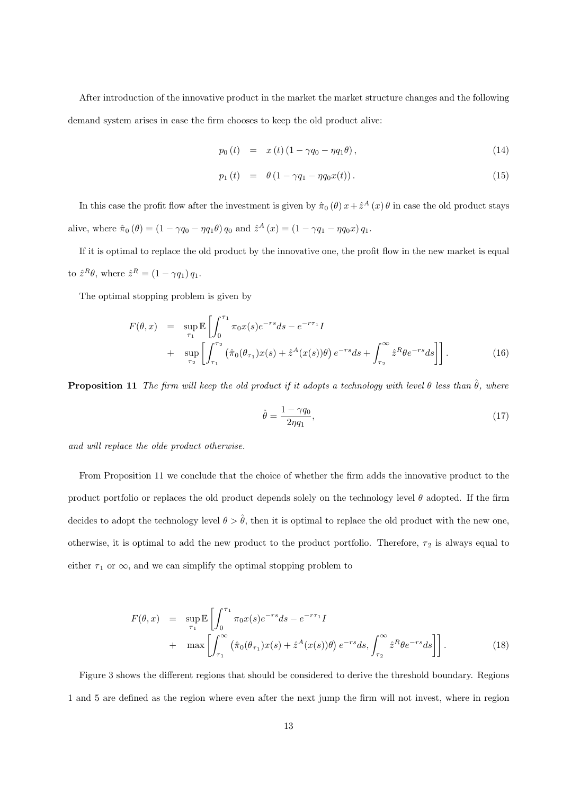After introduction of the innovative product in the market the market structure changes and the following demand system arises in case the firm chooses to keep the old product alive:

$$
p_0(t) = x(t) (1 - \gamma q_0 - \eta q_1 \theta), \qquad (14)
$$

$$
p_1(t) = \theta (1 - \gamma q_1 - \eta q_0 x(t)). \tag{15}
$$

In this case the profit flow after the investment is given by  $\hat{\pi}_0(\theta) x + \hat{z}^A(x) \theta$  in case the old product stays alive, where  $\hat{\pi}_0 (\theta) = (1 - \gamma q_0 - \eta q_1 \theta) q_0$  and  $\hat{z}^A (x) = (1 - \gamma q_1 - \eta q_0 x) q_1$ .

If it is optimal to replace the old product by the innovative one, the profit flow in the new market is equal to  $\hat{z}^R \theta$ , where  $\hat{z}^R = (1 - \gamma q_1) q_1$ .

The optimal stopping problem is given by

$$
F(\theta, x) = \sup_{\tau_1} \mathbb{E} \left[ \int_0^{\tau_1} \pi_0 x(s) e^{-rs} ds - e^{-r\tau_1} I \right] + \sup_{\tau_2} \left[ \int_{\tau_1}^{\tau_2} \left( \hat{\pi}_0(\theta_{\tau_1}) x(s) + \hat{z}^A(x(s)) \theta \right) e^{-rs} ds + \int_{\tau_2}^{\infty} \hat{z}^R \theta e^{-rs} ds \right] \right].
$$
 (16)

**Proposition 11** The firm will keep the old product if it adopts a technology with level  $\theta$  less than  $\hat{\theta}$ , where

$$
\hat{\theta} = \frac{1 - \gamma q_0}{2\eta q_1},\tag{17}
$$

and will replace the olde product otherwise.

From Proposition 11 we conclude that the choice of whether the firm adds the innovative product to the product portfolio or replaces the old product depends solely on the technology level  $\theta$  adopted. If the firm decides to adopt the technology level  $\theta > \hat{\theta}$ , then it is optimal to replace the old product with the new one, otherwise, it is optimal to add the new product to the product portfolio. Therefore,  $\tau_2$  is always equal to either  $\tau_1$  or  $\infty$ , and we can simplify the optimal stopping problem to

$$
F(\theta, x) = \sup_{\tau_1} \mathbb{E} \left[ \int_0^{\tau_1} \pi_0 x(s) e^{-rs} ds - e^{-r\tau_1} I \right] + \max \left[ \int_{\tau_1}^{\infty} \left( \hat{\pi}_0(\theta_{\tau_1}) x(s) + \hat{z}^A(x(s))\theta \right) e^{-rs} ds, \int_{\tau_2}^{\infty} \hat{z}^R \theta e^{-rs} ds \right] \right].
$$
 (18)

Figure 3 shows the different regions that should be considered to derive the threshold boundary. Regions 1 and 5 are defined as the region where even after the next jump the firm will not invest, where in region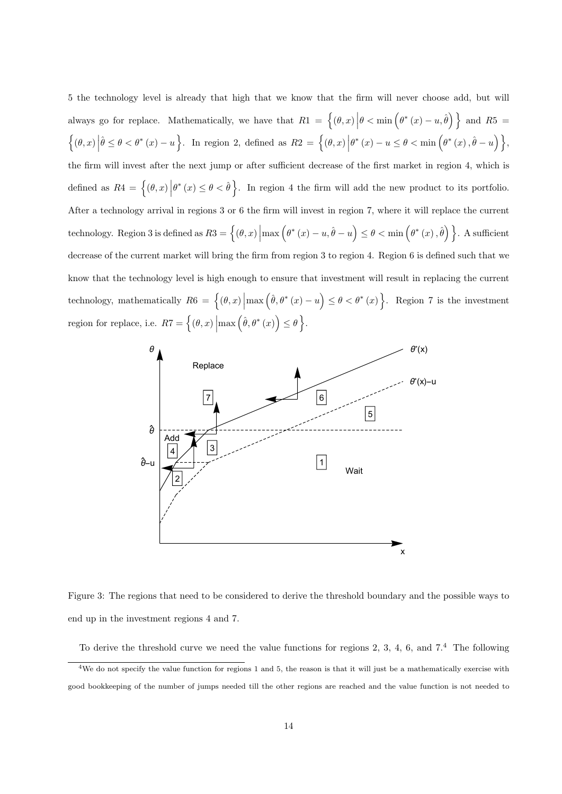5 the technology level is already that high that we know that the firm will never choose add, but will always go for replace. Mathematically, we have that  $R1 = \{(\theta, x) | \theta < \min(\theta^*(x) - u, \hat{\theta})\}$  and  $R5 =$  $\left\{(\theta, x) \left|\hat{\theta} \leq \theta < \theta^*(x) - u\right.\right\}$ . In region 2, defined as  $R2 = \left\{(\theta, x) \left|\theta^*(x) - u \leq \theta < \min\left(\theta^*(x), \hat{\theta} - u\right)\right.\right\}$ , the firm will invest after the next jump or after sufficient decrease of the first market in region 4, which is defined as  $R4 = \{(\theta, x) | \theta^*(x) \leq \theta < \hat{\theta}\}$ . In region 4 the firm will add the new product to its portfolio. After a technology arrival in regions 3 or 6 the firm will invest in region 7, where it will replace the current technology. Region 3 is defined as  $R3 = \{(\theta, x) | \max(\theta^*(x) - u, \hat{\theta} - u) \leq \theta < \min(\theta^*(x), \hat{\theta})\}\$ . A sufficient decrease of the current market will bring the firm from region 3 to region 4. Region 6 is defined such that we know that the technology level is high enough to ensure that investment will result in replacing the current technology, mathematically  $R6 = \left\{ (\theta, x) \middle| \max (\hat{\theta}, \theta^*(x) - u) \leq \theta < \theta^*(x) \right\}$ . Region 7 is the investment region for replace, i.e.  $RT = \left\{ (\theta, x) \middle| \max(\hat{\theta}, \theta^*(x)) \leq \theta \right\}.$ 



Figure 3: The regions that need to be considered to derive the threshold boundary and the possible ways to end up in the investment regions 4 and 7.

To derive the threshold curve we need the value functions for regions 2, 3, 4, 6, and 7.<sup>4</sup> The following  $\frac{4 \text{We do not specify the value function for regions 1 and 5, the reason is that it will just be a mathematically exercise with }$ good bookkeeping of the number of jumps needed till the other regions are reached and the value function is not needed to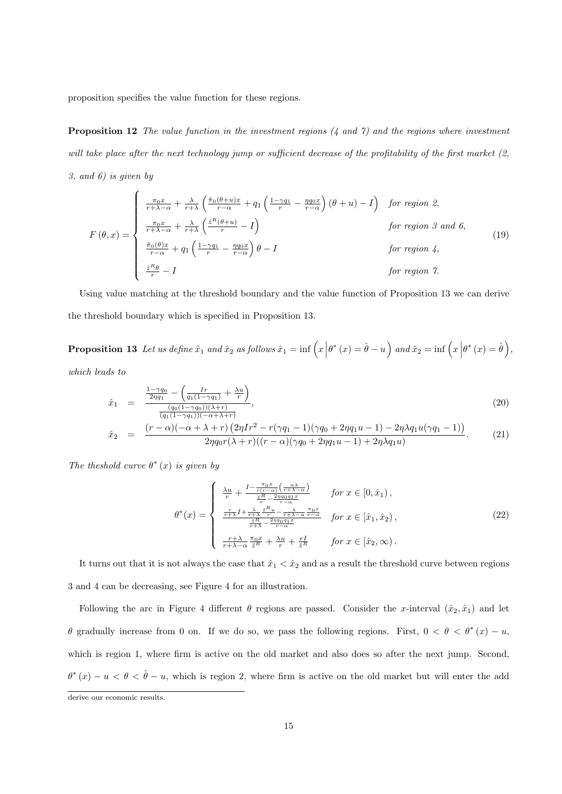proposition specifies the value function for these regions.

**Proposition 12** The value function in the investment regions  $(4 \text{ and } 7)$  and the regions where investment will take place after the next technology jump or sufficient decrease of the profitability of the first market (2, 3, and 6) is given by

$$
F(\theta, x) = \begin{cases} \frac{\pi_0 x}{r + \lambda - \alpha} + \frac{\lambda}{r + \lambda} \left( \frac{\hat{\pi}_0(\theta + u)x}{r - \alpha} + q_1 \left( \frac{1 - \gamma q_1}{r} - \frac{\eta q_0 x}{r - \alpha} \right) (\theta + u) - I \right) & \text{for region 2,} \\ \frac{\pi_0 x}{r + \lambda - \alpha} + \frac{\lambda}{r + \lambda} \left( \frac{\hat{z}^R(\theta + u)}{r} - I \right) & \text{for region 3 and 6,} \\ \frac{\hat{\pi}_0(\theta)x}{r - \alpha} + q_1 \left( \frac{1 - \gamma q_1}{r} - \frac{\eta q_0 x}{r - \alpha} \right) \theta - I & \text{for region 4,} \\ \frac{\hat{z}^R \theta}{r} - I & \text{for region 7.} \end{cases}
$$

Using value matching at the threshold boundary and the value function of Proposition 13 we can derive the threshold boundary which is specified in Proposition 13.

**Proposition 13** Let us define  $\hat{x}_1$  and  $\hat{x}_2$  as follows  $\hat{x}_1 = \inf \left( x \Big| \theta^*(x) = \hat{\theta} - u \right)$  and  $\hat{x}_2 = \inf \left( x \Big| \theta^*(x) = \hat{\theta} \right)$ ,

which leads to

$$
\hat{x}_1 = \frac{\frac{1-\gamma q_0}{2\eta q_1} - \left(\frac{Ir}{q_1(1-\gamma q_1)} + \frac{\lambda u}{r}\right)}{\frac{(q_0(1-\gamma q_0))( \lambda + r)}{(q_1(1-\gamma q_1))(-\alpha + \lambda + r)}},\tag{20}
$$
\n
$$
\hat{x}_2 = \frac{(r-\alpha)(-\alpha + \lambda + r)\left(2\eta Ir^2 - r(\gamma q_1 - 1)(\gamma q_0 + 2\eta q_1 u - 1) - 2\eta \lambda q_1 u(\gamma q_1 - 1)\right)}{2\eta q_0 r(\lambda + r)((r-\alpha)(\gamma q_0 + 2\eta q_1 u - 1) + 2\eta \lambda q_1 u)}.
$$

The theshold curve  $\theta^*(x)$  is given by

$$
\theta^*(x) = \begin{cases}\n\frac{\lambda u}{r} + \frac{I - \frac{\pi_0 x}{r(r - \alpha)} \left(\frac{\alpha \lambda}{r + \lambda - \alpha}\right)}{\frac{\hat{x}R}{r} - \frac{2\eta q_0 q_1 x}{r - \alpha}} & \text{for } x \in [0, \hat{x}_1), \\
\frac{\frac{r}{r + \lambda} I + \frac{\lambda}{r + \lambda} \frac{\hat{x}R}{r} u - \frac{\lambda}{r + \lambda - \alpha} \frac{\pi_0 x}{r - \alpha}}{\frac{\hat{x}R}{r + \lambda} - \frac{2\eta q_0 q_1 x}{r - \alpha}} & \text{for } x \in [\hat{x}_1, \hat{x}_2), \\
\frac{r + \lambda}{r + \lambda - \alpha} \frac{\pi_0 x}{\hat{x}R} + \frac{\lambda u}{r} + \frac{rI}{\hat{x}R} & \text{for } x \in [\hat{x}_2, \infty).\n\end{cases}
$$
\n
$$
(22)
$$

It turns out that it is not always the case that  $\hat{x}_1 < \hat{x}_2$  and as a result the threshold curve between regions 3 and 4 can be decreasing, see Figure 4 for an illustration.

Following the arc in Figure 4 different  $\theta$  regions are passed. Consider the x-interval  $(\hat{x}_2, \hat{x}_1)$  and let θ gradually increase from 0 on. If we do so, we pass the following regions. First,  $0 < θ < θ^*(x) - u$ , which is region 1, where firm is active on the old market and also does so after the next jump. Second,  $\theta^*(x) - u < \theta < \hat{\theta} - u$ , which is region 2, where firm is active on the old market but will enter the add

derive our economic results.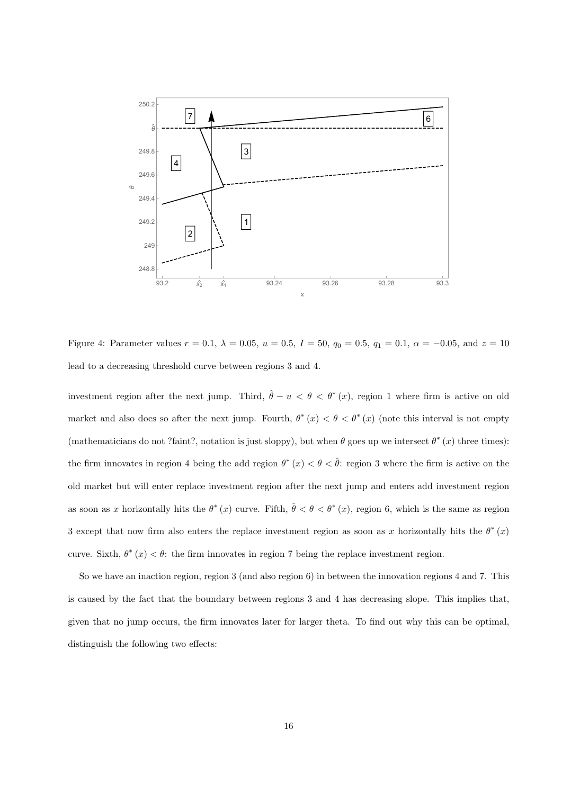

Figure 4: Parameter values  $r = 0.1$ ,  $\lambda = 0.05$ ,  $u = 0.5$ ,  $I = 50$ ,  $q_0 = 0.5$ ,  $q_1 = 0.1$ ,  $\alpha = -0.05$ , and  $z = 10$ lead to a decreasing threshold curve between regions 3 and 4.

investment region after the next jump. Third,  $\hat{\theta} - u < \theta < \theta^*(x)$ , region 1 where firm is active on old market and also does so after the next jump. Fourth,  $\theta^*(x) < \theta < \theta^*(x)$  (note this interval is not empty (mathematicians do not ?faint?, notation is just sloppy), but when  $\theta$  goes up we intersect  $\theta^*(x)$  three times): the firm innovates in region 4 being the add region  $\theta^*(x) < \theta < \hat{\theta}$ : region 3 where the firm is active on the old market but will enter replace investment region after the next jump and enters add investment region as soon as x horizontally hits the  $\theta^*(x)$  curve. Fifth,  $\hat{\theta} < \theta < \theta^*(x)$ , region 6, which is the same as region 3 except that now firm also enters the replace investment region as soon as x horizontally hits the  $\theta^*(x)$ curve. Sixth,  $\theta^*(x) < \theta$ : the firm innovates in region 7 being the replace investment region.

So we have an inaction region, region 3 (and also region 6) in between the innovation regions 4 and 7. This is caused by the fact that the boundary between regions 3 and 4 has decreasing slope. This implies that, given that no jump occurs, the firm innovates later for larger theta. To find out why this can be optimal, distinguish the following two effects: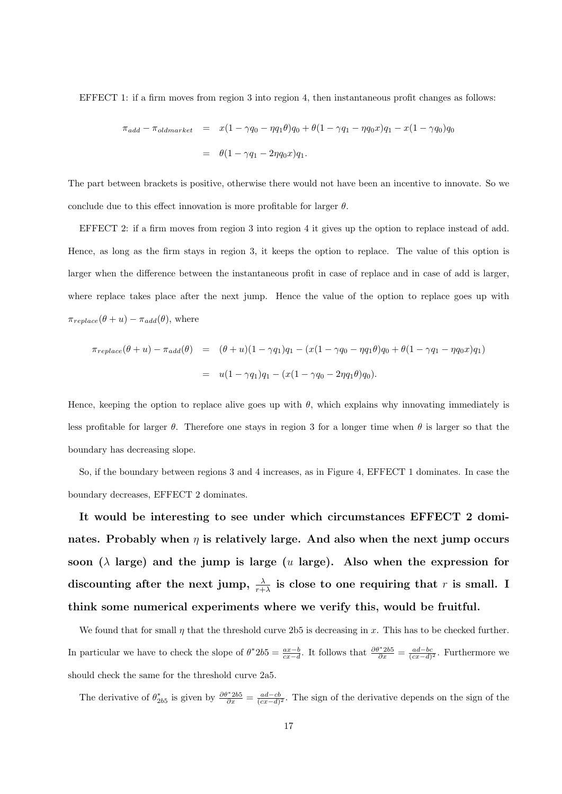EFFECT 1: if a firm moves from region 3 into region 4, then instantaneous profit changes as follows:

$$
\pi_{add} - \pi_{oldmarket} = x(1 - \gamma q_0 - \eta q_1 \theta) q_0 + \theta (1 - \gamma q_1 - \eta q_0 x) q_1 - x(1 - \gamma q_0) q_0
$$

$$
= \theta (1 - \gamma q_1 - 2\eta q_0 x) q_1.
$$

The part between brackets is positive, otherwise there would not have been an incentive to innovate. So we conclude due to this effect innovation is more profitable for larger  $\theta$ .

EFFECT 2: if a firm moves from region 3 into region 4 it gives up the option to replace instead of add. Hence, as long as the firm stays in region 3, it keeps the option to replace. The value of this option is larger when the difference between the instantaneous profit in case of replace and in case of add is larger, where replace takes place after the next jump. Hence the value of the option to replace goes up with  $\pi_{replace}(\theta + u) - \pi_{add}(\theta)$ , where

$$
\pi_{replace}(\theta + u) - \pi_{add}(\theta) = (\theta + u)(1 - \gamma q_1)q_1 - (x(1 - \gamma q_0 - \eta q_1 \theta)q_0 + \theta(1 - \gamma q_1 - \eta q_0 x)q_1)
$$
  
= 
$$
u(1 - \gamma q_1)q_1 - (x(1 - \gamma q_0 - 2\eta q_1 \theta)q_0).
$$

Hence, keeping the option to replace alive goes up with  $\theta$ , which explains why innovating immediately is less profitable for larger  $\theta$ . Therefore one stays in region 3 for a longer time when  $\theta$  is larger so that the boundary has decreasing slope.

So, if the boundary between regions 3 and 4 increases, as in Figure 4, EFFECT 1 dominates. In case the boundary decreases, EFFECT 2 dominates.

It would be interesting to see under which circumstances EFFECT 2 dominates. Probably when  $\eta$  is relatively large. And also when the next jump occurs soon ( $\lambda$  large) and the jump is large (u large). Also when the expression for discounting after the next jump,  $\frac{\lambda}{r+\lambda}$  is close to one requiring that r is small. I think some numerical experiments where we verify this, would be fruitful.

We found that for small  $\eta$  that the threshold curve 2b5 is decreasing in x. This has to be checked further. In particular we have to check the slope of  $\theta^* 2b5 = \frac{ax-b}{cx-d}$ . It follows that  $\frac{\partial \theta^* 2b5}{\partial x} = \frac{ad-bc}{(cx-d)^2}$ . Furthermore we should check the same for the threshold curve 2a5.

The derivative of  $\theta_{2b5}^*$  is given by  $\frac{\partial \theta^* 2b5}{\partial x} = \frac{ad - cb}{(cx - d)^2}$ . The sign of the derivative depends on the sign of the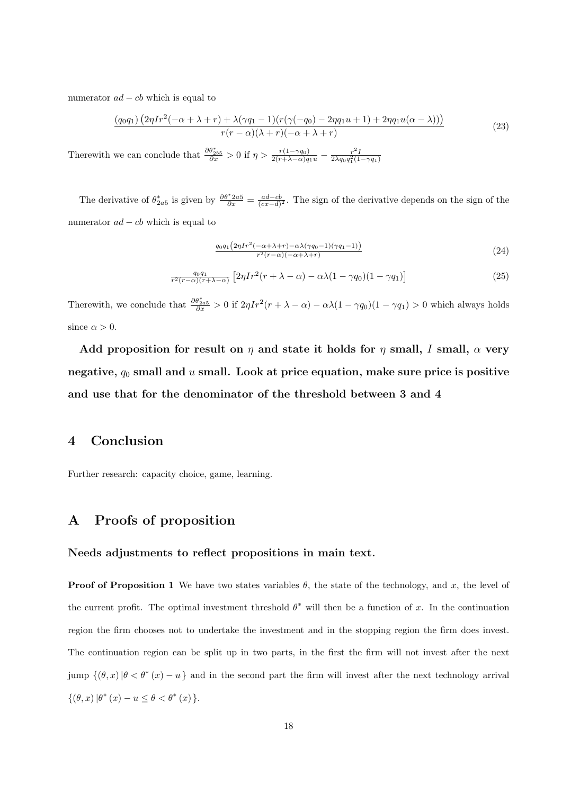numerator  $ad - cb$  which is equal to

$$
\frac{(q_0q_1)\left(2\eta Ir^2(-\alpha+\lambda+r)+\lambda(\gamma q_1-1)(r(\gamma(-q_0)-2\eta q_1u+1)+2\eta q_1u(\alpha-\lambda))\right)}{r(r-\alpha)(\lambda+r)(-\alpha+\lambda+r)}\tag{23}
$$

Therewith we can conclude that  $\frac{\partial \theta_{2b5}^*}{\partial x} > 0$  if  $\eta > \frac{r(1-\gamma q_0)}{2(r+\lambda-\alpha)q_1u} - \frac{r^2I}{2\lambda q_0q_1^2(1-\gamma q_1)}$ 

The derivative of  $\theta_{2a5}^*$  is given by  $\frac{\partial \theta^* 2a5}{\partial x} = \frac{ad - cb}{(cx - d)^2}$ . The sign of the derivative depends on the sign of the numerator  $ad - cb$  which is equal to

$$
\frac{q_0 q_1 \left(2\eta I r^2 \left(-\alpha + \lambda + r\right) - \alpha \lambda (\gamma q_0 - 1)(\gamma q_1 - 1)\right)}{r^2 (r - \alpha)(-\alpha + \lambda + r)}\tag{24}
$$

$$
\frac{q_0 q_1}{r^2 (r - \alpha)(r + \lambda - \alpha)} \left[ 2\eta I r^2 (r + \lambda - \alpha) - \alpha \lambda (1 - \gamma q_0)(1 - \gamma q_1) \right]
$$
 (25)

Therewith, we conclude that  $\frac{\partial \theta_{2a5}^*}{\partial x} > 0$  if  $2\eta Ir^2(r + \lambda - \alpha) - \alpha\lambda(1 - \gamma q_0)(1 - \gamma q_1) > 0$  which always holds since  $\alpha > 0$ .

Add proposition for result on  $\eta$  and state it holds for  $\eta$  small, I small,  $\alpha$  very negative,  $q_0$  small and u small. Look at price equation, make sure price is positive and use that for the denominator of the threshold between 3 and 4

# 4 Conclusion

Further research: capacity choice, game, learning.

# A Proofs of proposition

### Needs adjustments to reflect propositions in main text.

**Proof of Proposition 1** We have two states variables  $\theta$ , the state of the technology, and x, the level of the current profit. The optimal investment threshold  $\theta^*$  will then be a function of x. In the continuation region the firm chooses not to undertake the investment and in the stopping region the firm does invest. The continuation region can be split up in two parts, in the first the firm will not invest after the next jump  $\{(\theta, x) | \theta < \theta^*(x) - u\}$  and in the second part the firm will invest after the next technology arrival  $\{(\theta, x) | \theta^*(x) - u \leq \theta < \theta^*(x) \}.$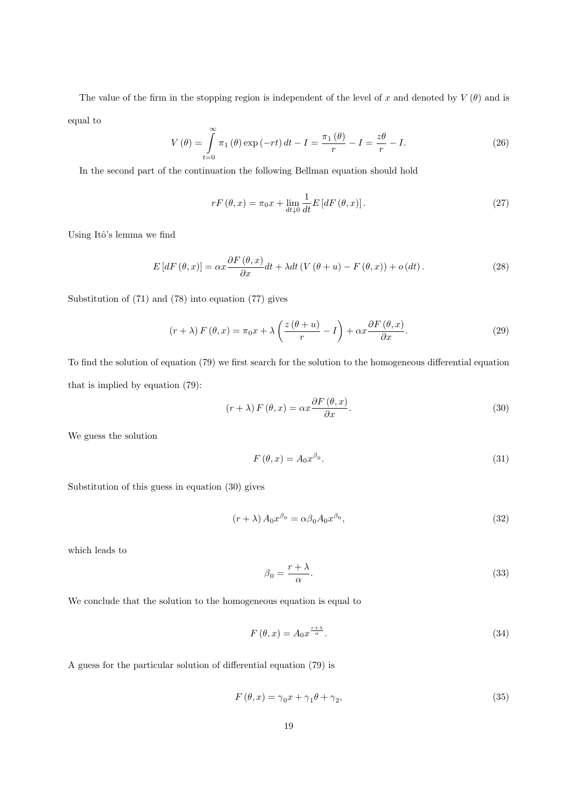The value of the firm in the stopping region is independent of the level of x and denoted by  $V(\theta)$  and is equal to

$$
V(\theta) = \int_{t=0}^{\infty} \pi_1(\theta) \exp(-rt) dt - I = \frac{\pi_1(\theta)}{r} - I = \frac{z\theta}{r} - I.
$$
 (26)

In the second part of the continuation the following Bellman equation should hold

$$
rF\left(\theta,x\right) = \pi_0 x + \lim_{dt \downarrow 0} \frac{1}{dt} E\left[dF\left(\theta,x\right)\right].\tag{27}
$$

Using Itô's lemma we find

$$
E\left[dF\left(\theta,x\right)\right] = \alpha x \frac{\partial F\left(\theta,x\right)}{\partial x} dt + \lambda dt \left(V\left(\theta+u\right)-F\left(\theta,x\right)\right) + o\left(dt\right). \tag{28}
$$

Substitution of (71) and (78) into equation (77) gives

$$
(r + \lambda) F(\theta, x) = \pi_0 x + \lambda \left( \frac{z(\theta + u)}{r} - I \right) + \alpha x \frac{\partial F(\theta, x)}{\partial x}.
$$
 (29)

To find the solution of equation (79) we first search for the solution to the homogeneous differential equation that is implied by equation (79):

$$
(r + \lambda) F(\theta, x) = \alpha x \frac{\partial F(\theta, x)}{\partial x}.
$$
\n(30)

We guess the solution

$$
F(\theta, x) = A_0 x^{\beta_0}.
$$
\n(31)

Substitution of this guess in equation (30) gives

$$
(r + \lambda) A_0 x^{\beta_0} = \alpha \beta_0 A_0 x^{\beta_0}, \qquad (32)
$$

which leads to

$$
\beta_0 = \frac{r + \lambda}{\alpha}.\tag{33}
$$

We conclude that the solution to the homogeneous equation is equal to

$$
F(\theta, x) = A_0 x^{\frac{r+\lambda}{\alpha}}.\tag{34}
$$

A guess for the particular solution of differential equation (79) is

$$
F(\theta, x) = \gamma_0 x + \gamma_1 \theta + \gamma_2,\tag{35}
$$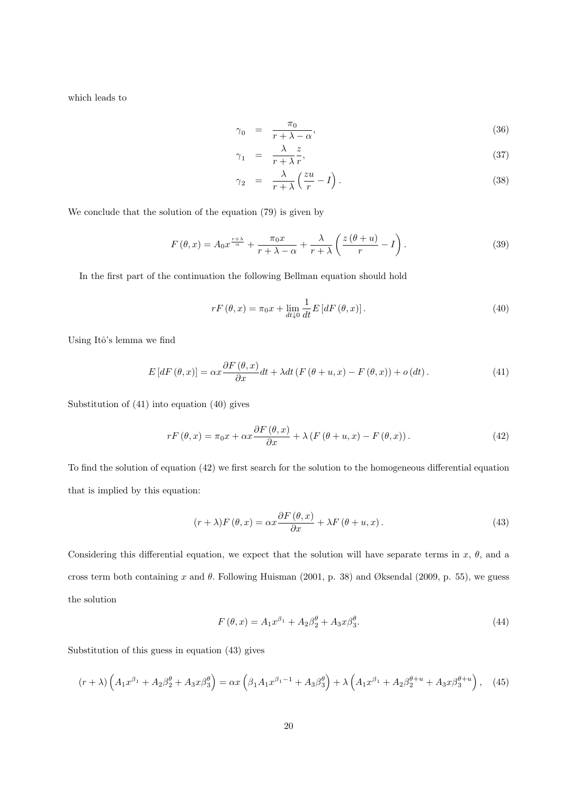which leads to

$$
\gamma_0 = \frac{\pi_0}{r + \lambda - \alpha},\tag{36}
$$

$$
\gamma_1 = \frac{\lambda}{r + \lambda} \frac{z}{r},\tag{37}
$$

$$
\gamma_2 = \frac{\lambda}{r + \lambda} \left( \frac{zu}{r} - I \right). \tag{38}
$$

We conclude that the solution of the equation (79) is given by

$$
F(\theta, x) = A_0 x^{\frac{r+\lambda}{\alpha}} + \frac{\pi_0 x}{r+\lambda - \alpha} + \frac{\lambda}{r+\lambda} \left( \frac{z(\theta + u)}{r} - I \right).
$$
 (39)

In the first part of the continuation the following Bellman equation should hold

$$
rF\left(\theta,x\right) = \pi_0 x + \lim_{dt \downarrow 0} \frac{1}{dt} E\left[dF\left(\theta,x\right)\right].\tag{40}
$$

Using Itô's lemma we find

$$
E\left[dF\left(\theta,x\right)\right] = \alpha x \frac{\partial F\left(\theta,x\right)}{\partial x} dt + \lambda dt \left(F\left(\theta+u,x\right)-F\left(\theta,x\right)\right) + o\left(dt\right). \tag{41}
$$

Substitution of (41) into equation (40) gives

$$
rF(\theta, x) = \pi_0 x + \alpha x \frac{\partial F(\theta, x)}{\partial x} + \lambda (F(\theta + u, x) - F(\theta, x)).
$$
\n(42)

To find the solution of equation (42) we first search for the solution to the homogeneous differential equation that is implied by this equation:

$$
(r + \lambda)F(\theta, x) = \alpha x \frac{\partial F(\theta, x)}{\partial x} + \lambda F(\theta + u, x). \tag{43}
$$

Considering this differential equation, we expect that the solution will have separate terms in  $x, \theta$ , and a cross term both containing x and  $\theta$ . Following Huisman (2001, p. 38) and Øksendal (2009, p. 55), we guess the solution

$$
F(\theta, x) = A_1 x^{\beta_1} + A_2 \beta_2^{\theta} + A_3 x \beta_3^{\theta}.
$$
\n(44)

Substitution of this guess in equation (43) gives

$$
(r+\lambda)\left(A_1x^{\beta_1} + A_2\beta_2^{\theta} + A_3x\beta_3^{\theta}\right) = \alpha x \left(\beta_1 A_1 x^{\beta_1 - 1} + A_3\beta_3^{\theta}\right) + \lambda \left(A_1x^{\beta_1} + A_2\beta_2^{\theta + u} + A_3x\beta_3^{\theta + u}\right),
$$
 (45)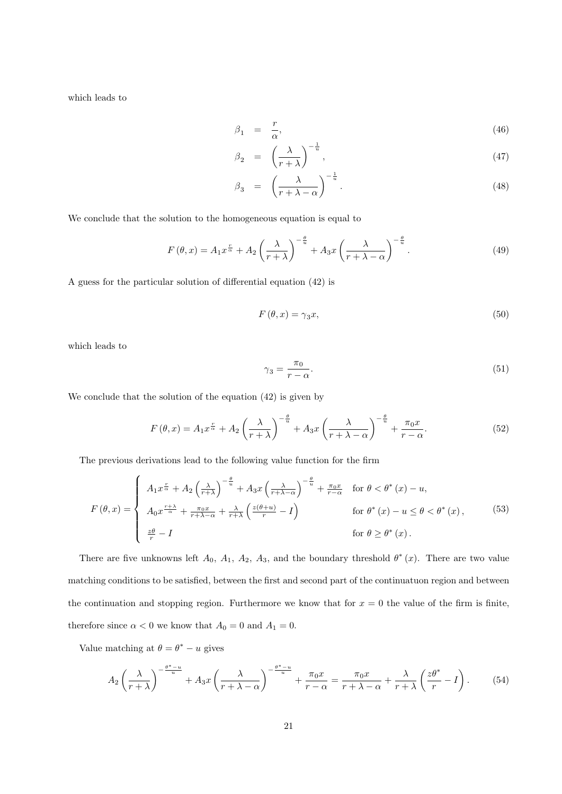which leads to

$$
\beta_1 = \frac{r}{\alpha},\tag{46}
$$

$$
\beta_2 = \left(\frac{\lambda}{r+\lambda}\right)^{-\frac{1}{u}},\tag{47}
$$

$$
\beta_3 = \left(\frac{\lambda}{r + \lambda - \alpha}\right)^{-\frac{1}{u}}.\tag{48}
$$

We conclude that the solution to the homogeneous equation is equal to

$$
F(\theta, x) = A_1 x^{\frac{r}{\alpha}} + A_2 \left(\frac{\lambda}{r + \lambda}\right)^{-\frac{\theta}{u}} + A_3 x \left(\frac{\lambda}{r + \lambda - \alpha}\right)^{-\frac{\theta}{u}}.
$$
 (49)

A guess for the particular solution of differential equation (42) is

$$
F(\theta, x) = \gamma_3 x,\tag{50}
$$

which leads to

$$
\gamma_3 = \frac{\pi_0}{r - \alpha}.\tag{51}
$$

We conclude that the solution of the equation (42) is given by

$$
F(\theta, x) = A_1 x^{\frac{r}{\alpha}} + A_2 \left(\frac{\lambda}{r + \lambda}\right)^{-\frac{\theta}{u}} + A_3 x \left(\frac{\lambda}{r + \lambda - \alpha}\right)^{-\frac{\theta}{u}} + \frac{\pi_0 x}{r - \alpha}.
$$
 (52)

The previous derivations lead to the following value function for the firm

$$
F(\theta, x) = \begin{cases} A_1 x^{\frac{r}{\alpha}} + A_2 \left(\frac{\lambda}{r+\lambda}\right)^{-\frac{\theta}{u}} + A_3 x \left(\frac{\lambda}{r+\lambda-\alpha}\right)^{-\frac{\theta}{u}} + \frac{\pi_0 x}{r-\alpha} & \text{for } \theta < \theta^*(x) - u, \\ A_0 x^{\frac{r+\lambda}{\alpha}} + \frac{\pi_0 x}{r+\lambda-\alpha} + \frac{\lambda}{r+\lambda} \left(\frac{z(\theta+u)}{r} - I\right) & \text{for } \theta^*(x) - u \le \theta < \theta^*(x), \\ \frac{z\theta}{r} - I & \text{for } \theta \ge \theta^*(x). \end{cases}
$$
(53)

There are five unknowns left  $A_0$ ,  $A_1$ ,  $A_2$ ,  $A_3$ , and the boundary threshold  $\theta^*(x)$ . There are two value matching conditions to be satisfied, between the first and second part of the continuatuon region and between the continuation and stopping region. Furthermore we know that for  $x = 0$  the value of the firm is finite, therefore since  $\alpha < 0$  we know that  $A_0 = 0$  and  $A_1 = 0$ .

Value matching at  $\theta = \theta^* - u$  gives

$$
A_2 \left(\frac{\lambda}{r+\lambda}\right)^{-\frac{\theta^*-u}{u}} + A_3 x \left(\frac{\lambda}{r+\lambda-\alpha}\right)^{-\frac{\theta^*-u}{u}} + \frac{\pi_0 x}{r-\alpha} = \frac{\pi_0 x}{r+\lambda-\alpha} + \frac{\lambda}{r+\lambda} \left(\frac{z\theta^*}{r} - I\right). \tag{54}
$$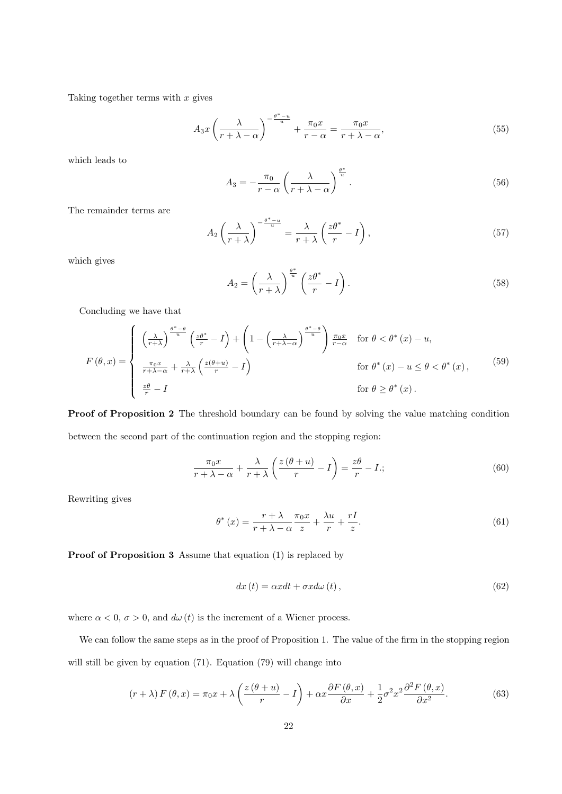Taking together terms with  $x$  gives

$$
A_3 x \left(\frac{\lambda}{r + \lambda - \alpha}\right)^{-\frac{\theta^* - u}{u}} + \frac{\pi_0 x}{r - \alpha} = \frac{\pi_0 x}{r + \lambda - \alpha},\tag{55}
$$

which leads to

$$
A_3 = -\frac{\pi_0}{r - \alpha} \left( \frac{\lambda}{r + \lambda - \alpha} \right)^{\frac{\theta^*}{u}}.
$$
\n(56)

The remainder terms are

$$
A_2 \left(\frac{\lambda}{r+\lambda}\right)^{-\frac{\theta^*-u}{u}} = \frac{\lambda}{r+\lambda} \left(\frac{z\theta^*}{r}-I\right),\tag{57}
$$

which gives

$$
A_2 = \left(\frac{\lambda}{r+\lambda}\right)^{\frac{\theta^*}{u}} \left(\frac{z\theta^*}{r} - I\right). \tag{58}
$$

Concluding we have that

$$
F(\theta, x) = \begin{cases} \left(\frac{\lambda}{r+\lambda}\right)^{\frac{\theta^*-\theta}{u}} \left(\frac{z\theta^*}{r} - I\right) + \left(1 - \left(\frac{\lambda}{r+\lambda-\alpha}\right)^{\frac{\theta^*-\theta}{u}}\right) \frac{\pi_0 x}{r-\alpha} & \text{for } \theta < \theta^* (x) - u, \\ \frac{\pi_0 x}{r+\lambda-\alpha} + \frac{\lambda}{r+\lambda} \left(\frac{z(\theta+u)}{r} - I\right) & \text{for } \theta^* (x) - u \le \theta < \theta^* (x), \\ \frac{z\theta}{r} - I & \text{for } \theta \ge \theta^* (x). \end{cases}
$$
(59)

Proof of Proposition 2 The threshold boundary can be found by solving the value matching condition between the second part of the continuation region and the stopping region:

$$
\frac{\pi_0 x}{r + \lambda - \alpha} + \frac{\lambda}{r + \lambda} \left( \frac{z(\theta + u)}{r} - I \right) = \frac{z\theta}{r} - I;
$$
\n(60)

Rewriting gives

$$
\theta^* (x) = \frac{r + \lambda}{r + \lambda - \alpha} \frac{\pi_0 x}{z} + \frac{\lambda u}{r} + \frac{rI}{z}.
$$
 (61)

Proof of Proposition 3 Assume that equation (1) is replaced by

$$
dx(t) = \alpha x dt + \sigma x d\omega(t), \qquad (62)
$$

where  $\alpha < 0$ ,  $\sigma > 0$ , and  $d\omega(t)$  is the increment of a Wiener process.

We can follow the same steps as in the proof of Proposition 1. The value of the firm in the stopping region will still be given by equation (71). Equation (79) will change into

$$
(r + \lambda) F(\theta, x) = \pi_0 x + \lambda \left( \frac{z(\theta + u)}{r} - I \right) + \alpha x \frac{\partial F(\theta, x)}{\partial x} + \frac{1}{2} \sigma^2 x^2 \frac{\partial^2 F(\theta, x)}{\partial x^2}.
$$
 (63)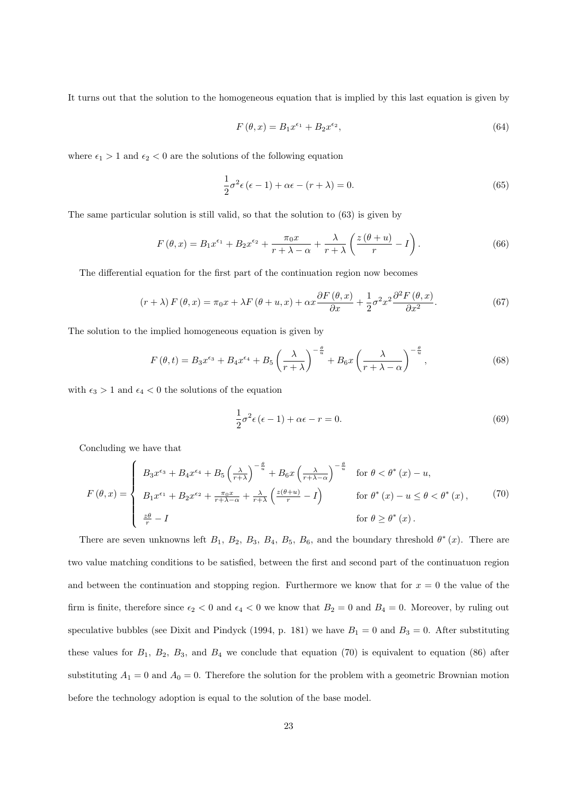It turns out that the solution to the homogeneous equation that is implied by this last equation is given by

$$
F(\theta, x) = B_1 x^{\epsilon_1} + B_2 x^{\epsilon_2},\tag{64}
$$

where  $\epsilon_1 > 1$  and  $\epsilon_2 < 0$  are the solutions of the following equation

$$
\frac{1}{2}\sigma^2 \epsilon (\epsilon - 1) + \alpha \epsilon - (r + \lambda) = 0.
$$
\n(65)

The same particular solution is still valid, so that the solution to (63) is given by

$$
F(\theta, x) = B_1 x^{\epsilon_1} + B_2 x^{\epsilon_2} + \frac{\pi_0 x}{r + \lambda - \alpha} + \frac{\lambda}{r + \lambda} \left( \frac{z(\theta + u)}{r} - I \right).
$$
 (66)

The differential equation for the first part of the continuation region now becomes

$$
(r + \lambda) F(\theta, x) = \pi_0 x + \lambda F(\theta + u, x) + \alpha x \frac{\partial F(\theta, x)}{\partial x} + \frac{1}{2} \sigma^2 x^2 \frac{\partial^2 F(\theta, x)}{\partial x^2}.
$$
 (67)

The solution to the implied homogeneous equation is given by

$$
F(\theta, t) = B_3 x^{\epsilon_3} + B_4 x^{\epsilon_4} + B_5 \left(\frac{\lambda}{r + \lambda}\right)^{-\frac{\theta}{u}} + B_6 x \left(\frac{\lambda}{r + \lambda - \alpha}\right)^{-\frac{\theta}{u}},\tag{68}
$$

with  $\epsilon_3 > 1$  and  $\epsilon_4 < 0$  the solutions of the equation

$$
\frac{1}{2}\sigma^2 \epsilon (\epsilon - 1) + \alpha \epsilon - r = 0.
$$
\n(69)

Concluding we have that

$$
F(\theta, x) = \begin{cases} B_3 x^{\epsilon_3} + B_4 x^{\epsilon_4} + B_5 \left(\frac{\lambda}{r+\lambda}\right)^{-\frac{\theta}{u}} + B_6 x \left(\frac{\lambda}{r+\lambda-\alpha}\right)^{-\frac{\theta}{u}} & \text{for } \theta < \theta^*(x) - u, \\ B_1 x^{\epsilon_1} + B_2 x^{\epsilon_2} + \frac{\pi_0 x}{r+\lambda-\alpha} + \frac{\lambda}{r+\lambda} \left(\frac{z(\theta+u)}{r} - I\right) & \text{for } \theta^*(x) - u \le \theta < \theta^*(x), \\ \frac{z\theta}{r} - I & \text{for } \theta \ge \theta^*(x). \end{cases}
$$
(70)

There are seven unknowns left  $B_1$ ,  $B_2$ ,  $B_3$ ,  $B_4$ ,  $B_5$ ,  $B_6$ , and the boundary threshold  $\theta^*(x)$ . There are two value matching conditions to be satisfied, between the first and second part of the continuatuon region and between the continuation and stopping region. Furthermore we know that for  $x = 0$  the value of the firm is finite, therefore since  $\epsilon_2 < 0$  and  $\epsilon_4 < 0$  we know that  $B_2 = 0$  and  $B_4 = 0$ . Moreover, by ruling out speculative bubbles (see Dixit and Pindyck (1994, p. 181) we have  $B_1 = 0$  and  $B_3 = 0$ . After substituting these values for  $B_1$ ,  $B_2$ ,  $B_3$ , and  $B_4$  we conclude that equation (70) is equivalent to equation (86) after substituting  $A_1 = 0$  and  $A_0 = 0$ . Therefore the solution for the problem with a geometric Brownian motion before the technology adoption is equal to the solution of the base model.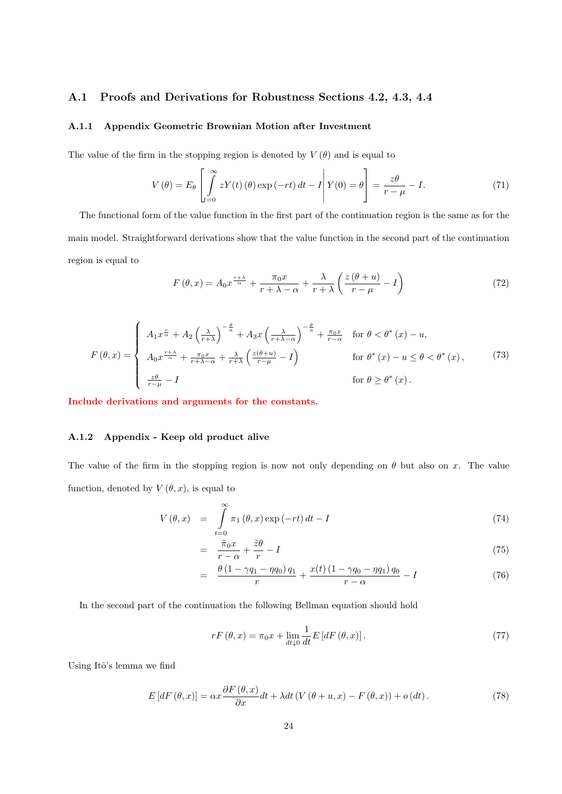## A.1 Proofs and Derivations for Robustness Sections 4.2, 4.3, 4.4

### A.1.1 Appendix Geometric Brownian Motion after Investment

The value of the firm in the stopping region is denoted by  $V(\theta)$  and is equal to

$$
V(\theta) = E_{\theta} \left[ \int_{t=0}^{\infty} z Y(t) (\theta) \exp(-rt) dt - I \right] Y(0) = \theta \right] = \frac{z\theta}{r - \mu} - I.
$$
 (71)

The functional form of the value function in the first part of the continuation region is the same as for the main model. Straightforward derivations show that the value function in the second part of the continuation region is equal to

$$
F(\theta, x) = A_0 x^{\frac{r+\lambda}{\alpha}} + \frac{\pi_0 x}{r+\lambda - \alpha} + \frac{\lambda}{r+\lambda} \left( \frac{z(\theta + u)}{r-\mu} - I \right)
$$
(72)

$$
F(\theta, x) = \begin{cases} A_1 x^{\frac{r}{\alpha}} + A_2 \left(\frac{\lambda}{r+\lambda}\right)^{-\frac{\theta}{u}} + A_3 x \left(\frac{\lambda}{r+\lambda-\alpha}\right)^{-\frac{\theta}{u}} + \frac{\pi_0 x}{r-\alpha} & \text{for } \theta < \theta^*(x) - u, \\ A_0 x^{\frac{r+\lambda}{\alpha}} + \frac{\pi_0 x}{r+\lambda-\alpha} + \frac{\lambda}{r+\lambda} \left(\frac{z(\theta+u)}{r-\mu} - I\right) & \text{for } \theta^*(x) - u \le \theta < \theta^*(x), \\ \frac{z\theta}{r-\mu} - I & \text{for } \theta \ge \theta^*(x). \end{cases}
$$
(73)

Include derivations and arguments for the constants.

#### A.1.2 Appendix - Keep old product alive

The value of the firm in the stopping region is now not only depending on  $\theta$  but also on x. The value function, denoted by  $V(\theta, x)$ , is equal to

$$
V(\theta, x) = \int_{t=0}^{\infty} \pi_1(\theta, x) \exp(-rt) dt - I
$$
\n(74)

$$
= \frac{\tilde{\pi}_0 x}{r - \alpha} + \frac{\tilde{z}\theta}{r} - I \tag{75}
$$

$$
= \frac{\theta (1 - \gamma q_1 - \eta q_0) q_1}{r} + \frac{x(t) (1 - \gamma q_0 - \eta q_1) q_0}{r - \alpha} - I \tag{76}
$$

In the second part of the continuation the following Bellman equation should hold

$$
rF\left(\theta,x\right) = \pi_0 x + \lim_{dt \downarrow 0} \frac{1}{dt} E\left[dF\left(\theta,x\right)\right].\tag{77}
$$

Using Itô's lemma we find

$$
E\left[dF\left(\theta,x\right)\right] = \alpha x \frac{\partial F\left(\theta,x\right)}{\partial x} dt + \lambda dt \left(V\left(\theta+u,x\right)-F\left(\theta,x\right)\right) + o\left(dt\right). \tag{78}
$$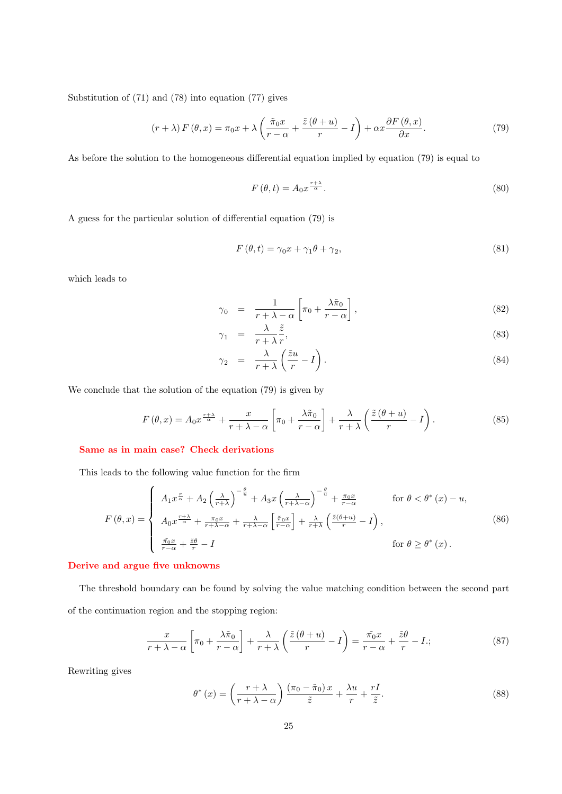Substitution of (71) and (78) into equation (77) gives

$$
(r + \lambda) F(\theta, x) = \pi_0 x + \lambda \left( \frac{\tilde{\pi}_0 x}{r - \alpha} + \frac{\tilde{z}(\theta + u)}{r} - I \right) + \alpha x \frac{\partial F(\theta, x)}{\partial x}.
$$
 (79)

As before the solution to the homogeneous differential equation implied by equation (79) is equal to

$$
F(\theta, t) = A_0 x^{\frac{r+\lambda}{\alpha}}.
$$
\n(80)

A guess for the particular solution of differential equation (79) is

$$
F(\theta, t) = \gamma_0 x + \gamma_1 \theta + \gamma_2,\tag{81}
$$

which leads to

$$
\gamma_0 = \frac{1}{r + \lambda - \alpha} \left[ \pi_0 + \frac{\lambda \tilde{\pi}_0}{r - \alpha} \right],\tag{82}
$$

$$
\gamma_1 = \frac{\lambda}{r + \lambda} \frac{z}{r},\tag{83}
$$

$$
\gamma_2 = \frac{\lambda}{r + \lambda} \left( \frac{\tilde{z}u}{r} - I \right). \tag{84}
$$

We conclude that the solution of the equation (79) is given by

$$
F(\theta, x) = A_0 x^{\frac{r+\lambda}{\alpha}} + \frac{x}{r+\lambda-\alpha} \left[ \pi_0 + \frac{\lambda \tilde{\pi}_0}{r-\alpha} \right] + \frac{\lambda}{r+\lambda} \left( \frac{\tilde{z}(\theta+u)}{r} - I \right).
$$
 (85)

### Same as in main case? Check derivations

This leads to the following value function for the firm

$$
F(\theta, x) = \begin{cases} A_1 x^{\frac{r}{\alpha}} + A_2 \left(\frac{\lambda}{r+\lambda}\right)^{-\frac{\theta}{u}} + A_3 x \left(\frac{\lambda}{r+\lambda-\alpha}\right)^{-\frac{\theta}{u}} + \frac{\pi_0 x}{r-\alpha} & \text{for } \theta < \theta^*(x) - u, \\ A_0 x^{\frac{r+\lambda}{\alpha}} + \frac{\pi_0 x}{r+\lambda-\alpha} + \frac{\lambda}{r+\lambda-\alpha} \left[\frac{\tilde{\pi}_0 x}{r-\alpha}\right] + \frac{\lambda}{r+\lambda} \left(\frac{\tilde{z}(\theta+u)}{r} - I\right), & \text{for } \theta \ge \theta^*(x). \end{cases}
$$
(86)

#### Derive and argue five unknowns

The threshold boundary can be found by solving the value matching condition between the second part of the continuation region and the stopping region:

$$
\frac{x}{r+\lambda-\alpha}\left[\pi_0+\frac{\lambda\tilde{\pi}_0}{r-\alpha}\right]+\frac{\lambda}{r+\lambda}\left(\frac{\tilde{z}(\theta+u)}{r}-I\right)=\frac{\tilde{\pi_0}x}{r-\alpha}+\frac{\tilde{z}\theta}{r}-I\,,\tag{87}
$$

Rewriting gives

$$
\theta^* (x) = \left(\frac{r+\lambda}{r+\lambda-\alpha}\right) \frac{(\pi_0-\tilde{\pi}_0)x}{\tilde{z}} + \frac{\lambda u}{r} + \frac{rI}{\tilde{z}}.
$$
 (88)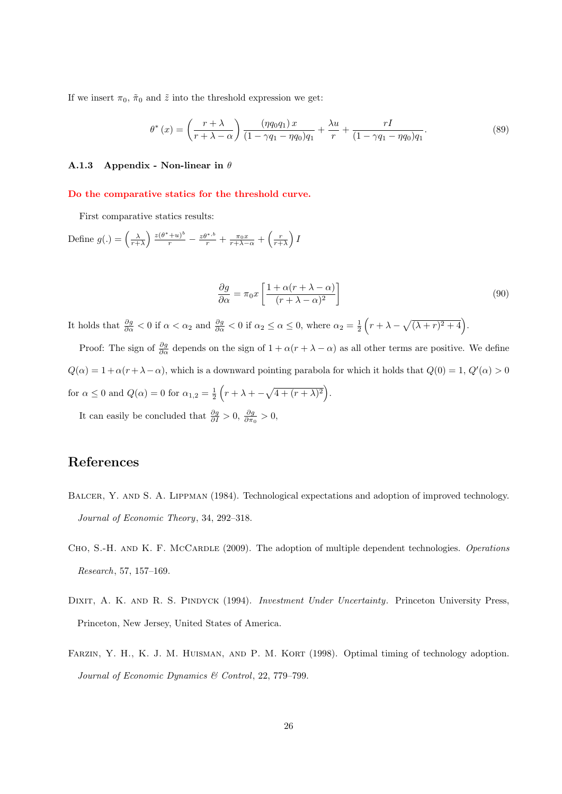If we insert  $\pi_0$ ,  $\tilde{\pi}_0$  and  $\tilde{z}$  into the threshold expression we get:

$$
\theta^*(x) = \left(\frac{r+\lambda}{r+\lambda-\alpha}\right) \frac{(\eta q_0 q_1) x}{(1-\gamma q_1 - \eta q_0) q_1} + \frac{\lambda u}{r} + \frac{rI}{(1-\gamma q_1 - \eta q_0) q_1}.\tag{89}
$$

#### A.1.3 Appendix - Non-linear in  $\theta$

#### Do the comparative statics for the threshold curve.

First comparative statics results:

Define  $g(.) = \left(\frac{\lambda}{r+\lambda}\right) \frac{z(\theta^*+u)^b}{r} - \frac{z\theta^{*,b}}{r} + \frac{\pi_0 x}{r+\lambda-\alpha} + \left(\frac{r}{r+\lambda}\right)I$ 

$$
\frac{\partial g}{\partial \alpha} = \pi_0 x \left[ \frac{1 + \alpha (r + \lambda - \alpha)}{(r + \lambda - \alpha)^2} \right]
$$
\n(90)

It holds that  $\frac{\partial g}{\partial \alpha} < 0$  if  $\alpha < \alpha_2$  and  $\frac{\partial g}{\partial \alpha} < 0$  if  $\alpha_2 \le \alpha \le 0$ , where  $\alpha_2 = \frac{1}{2} \left( r + \lambda - \sqrt{(\lambda + r)^2 + 4} \right)$ .

Proof: The sign of  $\frac{\partial g}{\partial \alpha}$  depends on the sign of  $1 + \alpha(r + \lambda - \alpha)$  as all other terms are positive. We define  $Q(\alpha) = 1 + \alpha(r + \lambda - \alpha)$ , which is a downward pointing parabola for which it holds that  $Q(0) = 1$ ,  $Q'(\alpha) > 0$ for  $\alpha \leq 0$  and  $Q(\alpha) = 0$  for  $\alpha_{1,2} = \frac{1}{2} \left( r + \lambda + \sqrt{4 + (r + \lambda)^2} \right)$ .

It can easily be concluded that  $\frac{\partial g}{\partial I} > 0$ ,  $\frac{\partial g}{\partial \pi_0} > 0$ ,

# References

- BALCER, Y. AND S. A. LIPPMAN (1984). Technological expectations and adoption of improved technology. Journal of Economic Theory, 34, 292–318.
- CHO, S.-H. AND K. F. MCCARDLE (2009). The adoption of multiple dependent technologies. Operations Research, 57, 157–169.
- DIXIT, A. K. AND R. S. PINDYCK (1994). Investment Under Uncertainty. Princeton University Press, Princeton, New Jersey, United States of America.
- FARZIN, Y. H., K. J. M. HUISMAN, AND P. M. KORT (1998). Optimal timing of technology adoption. Journal of Economic Dynamics & Control, 22, 779–799.